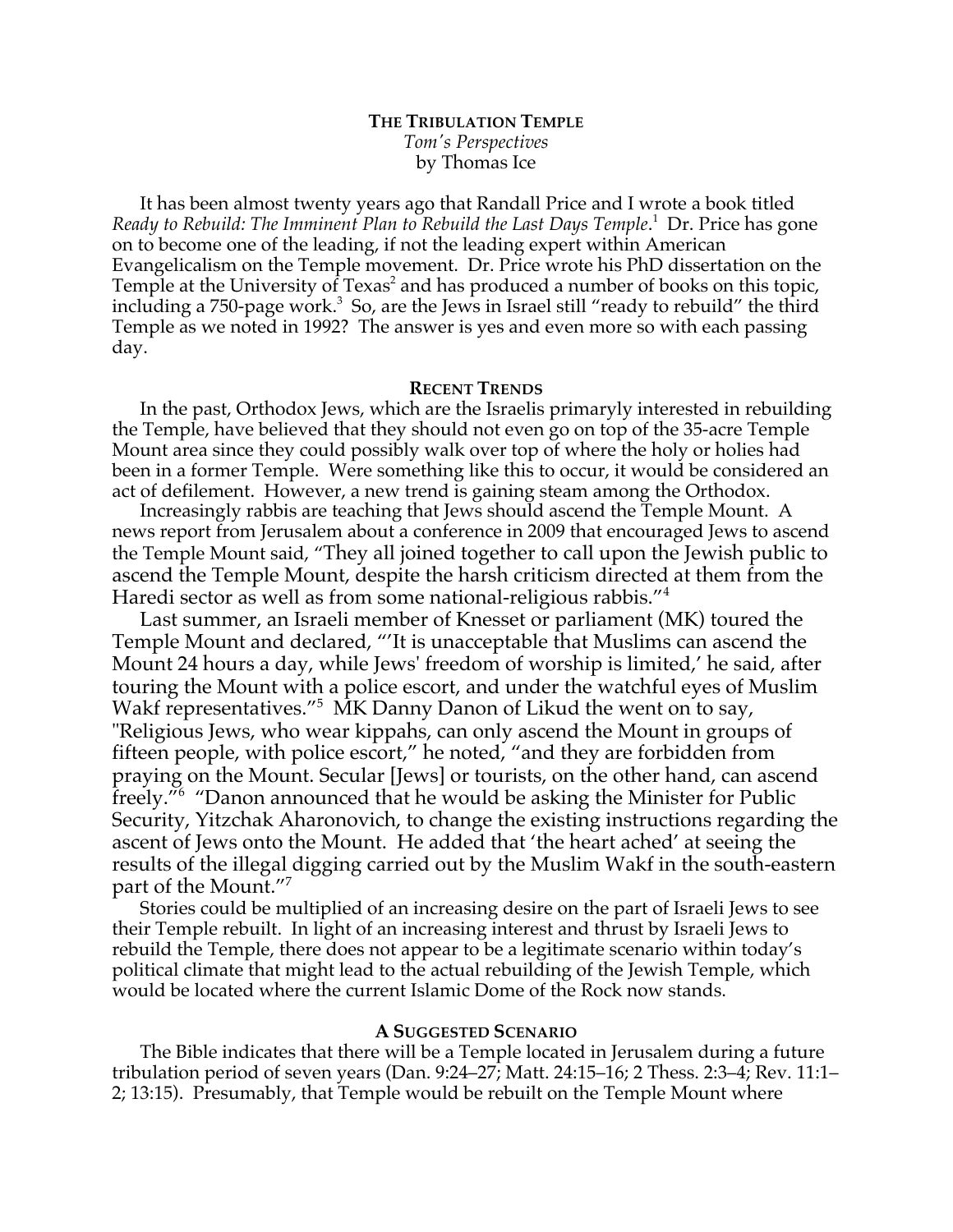# **THE TRIBULATION TEMPLE** *Tom's Perspectives* by Thomas Ice

It has been almost twenty years ago that Randall Price and I wrote a book titled Ready to Rebuild: The Imminent Plan to Rebuild the Last Days Temple.<sup>1</sup> Dr. Price has gone on to become one of the leading, if not the leading expert within American Evangelicalism on the Temple movement. Dr. Price wrote his PhD dissertation on the Temple at the University of Texas<sup>2</sup> and has produced a number of books on this topic, including a 750-page work.<sup>3</sup> So, are the Jews in Israel still "ready to rebuild" the third Temple as we noted in 1992? The answer is yes and even more so with each passing day.

# **RECENT TRENDS**

In the past, Orthodox Jews, which are the Israelis primaryly interested in rebuilding the Temple, have believed that they should not even go on top of the 35-acre Temple Mount area since they could possibly walk over top of where the holy or holies had been in a former Temple. Were something like this to occur, it would be considered an act of defilement. However, a new trend is gaining steam among the Orthodox.

Increasingly rabbis are teaching that Jews should ascend the Temple Mount. A news report from Jerusalem about a conference in 2009 that encouraged Jews to ascend the Temple Mount said, "They all joined together to call upon the Jewish public to ascend the Temple Mount, despite the harsh criticism directed at them from the Haredi sector as well as from some national-religious rabbis."4

Last summer, an Israeli member of Knesset or parliament (MK) toured the Temple Mount and declared, "'It is unacceptable that Muslims can ascend the Mount 24 hours a day, while Jews' freedom of worship is limited,' he said, after touring the Mount with a police escort, and under the watchful eyes of Muslim Wakf representatives."<sup>5</sup> MK Danny Danon of Likud the went on to say, "Religious Jews, who wear kippahs, can only ascend the Mount in groups of fifteen people, with police escort," he noted, "and they are forbidden from praying on the Mount. Secular [Jews] or tourists, on the other hand, can ascend freely."6 "Danon announced that he would be asking the Minister for Public Security, Yitzchak Aharonovich, to change the existing instructions regarding the ascent of Jews onto the Mount. He added that 'the heart ached' at seeing the results of the illegal digging carried out by the Muslim Wakf in the south-eastern part of the Mount."7

Stories could be multiplied of an increasing desire on the part of Israeli Jews to see their Temple rebuilt. In light of an increasing interest and thrust by Israeli Jews to rebuild the Temple, there does not appear to be a legitimate scenario within today's political climate that might lead to the actual rebuilding of the Jewish Temple, which would be located where the current Islamic Dome of the Rock now stands.

## **A SUGGESTED SCENARIO**

The Bible indicates that there will be a Temple located in Jerusalem during a future tribulation period of seven years (Dan. 9:24–27; Matt. 24:15–16; 2 Thess. 2:3–4; Rev. 11:1– 2; 13:15). Presumably, that Temple would be rebuilt on the Temple Mount where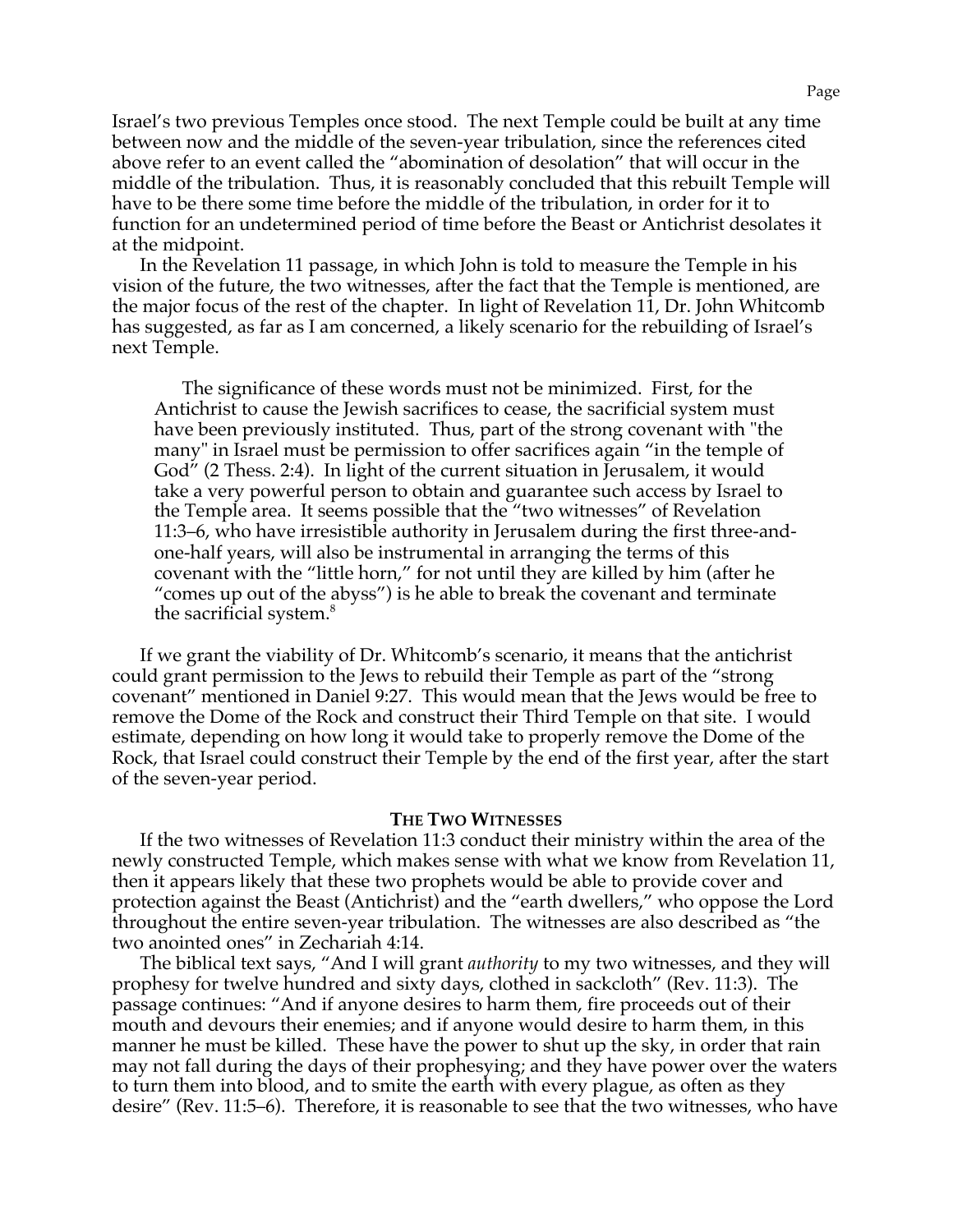Israel's two previous Temples once stood. The next Temple could be built at any time between now and the middle of the seven-year tribulation, since the references cited above refer to an event called the "abomination of desolation" that will occur in the middle of the tribulation. Thus, it is reasonably concluded that this rebuilt Temple will have to be there some time before the middle of the tribulation, in order for it to function for an undetermined period of time before the Beast or Antichrist desolates it at the midpoint.

In the Revelation 11 passage, in which John is told to measure the Temple in his vision of the future, the two witnesses, after the fact that the Temple is mentioned, are the major focus of the rest of the chapter. In light of Revelation 11, Dr. John Whitcomb has suggested, as far as I am concerned, a likely scenario for the rebuilding of Israel's next Temple.

The significance of these words must not be minimized. First, for the Antichrist to cause the Jewish sacrifices to cease, the sacrificial system must have been previously instituted. Thus, part of the strong covenant with "the many" in Israel must be permission to offer sacrifices again "in the temple of God" (2 Thess. 2:4). In light of the current situation in Jerusalem, it would take a very powerful person to obtain and guarantee such access by Israel to the Temple area. It seems possible that the "two witnesses" of Revelation 11:3–6, who have irresistible authority in Jerusalem during the first three-andone-half years, will also be instrumental in arranging the terms of this covenant with the "little horn," for not until they are killed by him (after he "comes up out of the abyss") is he able to break the covenant and terminate the sacrificial system.<sup>8</sup>

If we grant the viability of Dr. Whitcomb's scenario, it means that the antichrist could grant permission to the Jews to rebuild their Temple as part of the "strong covenant" mentioned in Daniel 9:27. This would mean that the Jews would be free to remove the Dome of the Rock and construct their Third Temple on that site. I would estimate, depending on how long it would take to properly remove the Dome of the Rock, that Israel could construct their Temple by the end of the first year, after the start of the seven-year period.

## **THE TWO WITNESSES**

If the two witnesses of Revelation 11:3 conduct their ministry within the area of the newly constructed Temple, which makes sense with what we know from Revelation 11, then it appears likely that these two prophets would be able to provide cover and protection against the Beast (Antichrist) and the "earth dwellers," who oppose the Lord throughout the entire seven-year tribulation. The witnesses are also described as "the two anointed ones" in Zechariah 4:14.

The biblical text says, "And I will grant *authority* to my two witnesses, and they will prophesy for twelve hundred and sixty days, clothed in sackcloth" (Rev. 11:3). The passage continues: "And if anyone desires to harm them, fire proceeds out of their mouth and devours their enemies; and if anyone would desire to harm them, in this manner he must be killed. These have the power to shut up the sky, in order that rain may not fall during the days of their prophesying; and they have power over the waters to turn them into blood, and to smite the earth with every plague, as often as they desire" (Rev. 11:5–6). Therefore, it is reasonable to see that the two witnesses, who have